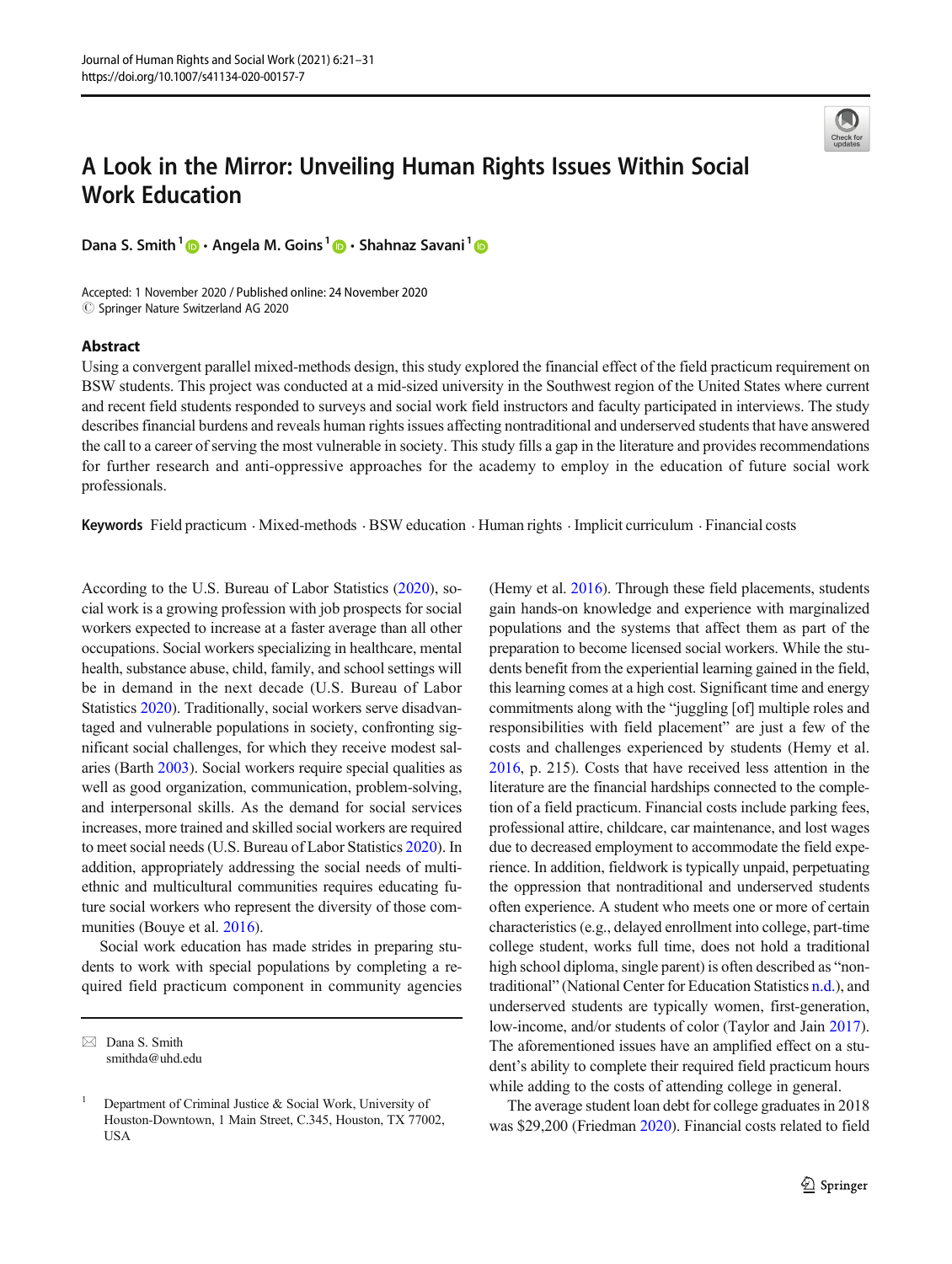

# A Look in the Mirror: Unveiling Human Rights Issues Within Social Work Education

Dana S. Smith<sup>1</sup>  $\bigcirc$  · Angela M. Goins<sup>1</sup>  $\bigcirc$  · Shahnaz Savani<sup>1</sup>  $\bigcirc$ 

Accepted: 1 November 2020 / Published online: 24 November 2020  $\odot$  Springer Nature Switzerland AG 2020

# Abstract

Using a convergent parallel mixed-methods design, this study explored the financial effect of the field practicum requirement on BSW students. This project was conducted at a mid-sized university in the Southwest region of the United States where current and recent field students responded to surveys and social work field instructors and faculty participated in interviews. The study describes financial burdens and reveals human rights issues affecting nontraditional and underserved students that have answered the call to a career of serving the most vulnerable in society. This study fills a gap in the literature and provides recommendations for further research and anti-oppressive approaches for the academy to employ in the education of future social work professionals.

Keywords Field practicum . Mixed-methods . BSW education . Human rights . Implicit curriculum . Financial costs

According to the U.S. Bureau of Labor Statistics [\(2020\)](#page-10-0), social work is a growing profession with job prospects for social workers expected to increase at a faster average than all other occupations. Social workers specializing in healthcare, mental health, substance abuse, child, family, and school settings will be in demand in the next decade (U.S. Bureau of Labor Statistics [2020](#page-10-0)). Traditionally, social workers serve disadvantaged and vulnerable populations in society, confronting significant social challenges, for which they receive modest salaries (Barth [2003](#page-9-0)). Social workers require special qualities as well as good organization, communication, problem-solving, and interpersonal skills. As the demand for social services increases, more trained and skilled social workers are required to meet social needs (U.S. Bureau of Labor Statistics [2020](#page-10-0)). In addition, appropriately addressing the social needs of multiethnic and multicultural communities requires educating future social workers who represent the diversity of those communities (Bouye et al. [2016](#page-9-0)).

Social work education has made strides in preparing students to work with special populations by completing a required field practicum component in community agencies

 $\boxtimes$  Dana S. Smith [smithda@uhd.edu](mailto:smithda@uhd.edu) (Hemy et al. [2016\)](#page-9-0). Through these field placements, students gain hands-on knowledge and experience with marginalized populations and the systems that affect them as part of the preparation to become licensed social workers. While the students benefit from the experiential learning gained in the field, this learning comes at a high cost. Significant time and energy commitments along with the "juggling [of] multiple roles and responsibilities with field placement" are just a few of the costs and challenges experienced by students (Hemy et al. [2016,](#page-9-0) p. 215). Costs that have received less attention in the literature are the financial hardships connected to the completion of a field practicum. Financial costs include parking fees, professional attire, childcare, car maintenance, and lost wages due to decreased employment to accommodate the field experience. In addition, fieldwork is typically unpaid, perpetuating the oppression that nontraditional and underserved students often experience. A student who meets one or more of certain characteristics (e.g., delayed enrollment into college, part-time college student, works full time, does not hold a traditional high school diploma, single parent) is often described as "nontraditional" (National Center for Education Statistics [n.d.\)](#page-9-0), and underserved students are typically women, first-generation, low-income, and/or students of color (Taylor and Jain [2017\)](#page-10-0). The aforementioned issues have an amplified effect on a student's ability to complete their required field practicum hours while adding to the costs of attending college in general.

The average student loan debt for college graduates in 2018 was \$29,200 (Friedman [2020](#page-9-0)). Financial costs related to field

<sup>1</sup> Department of Criminal Justice & Social Work, University of Houston-Downtown, 1 Main Street, C.345, Houston, TX 77002, USA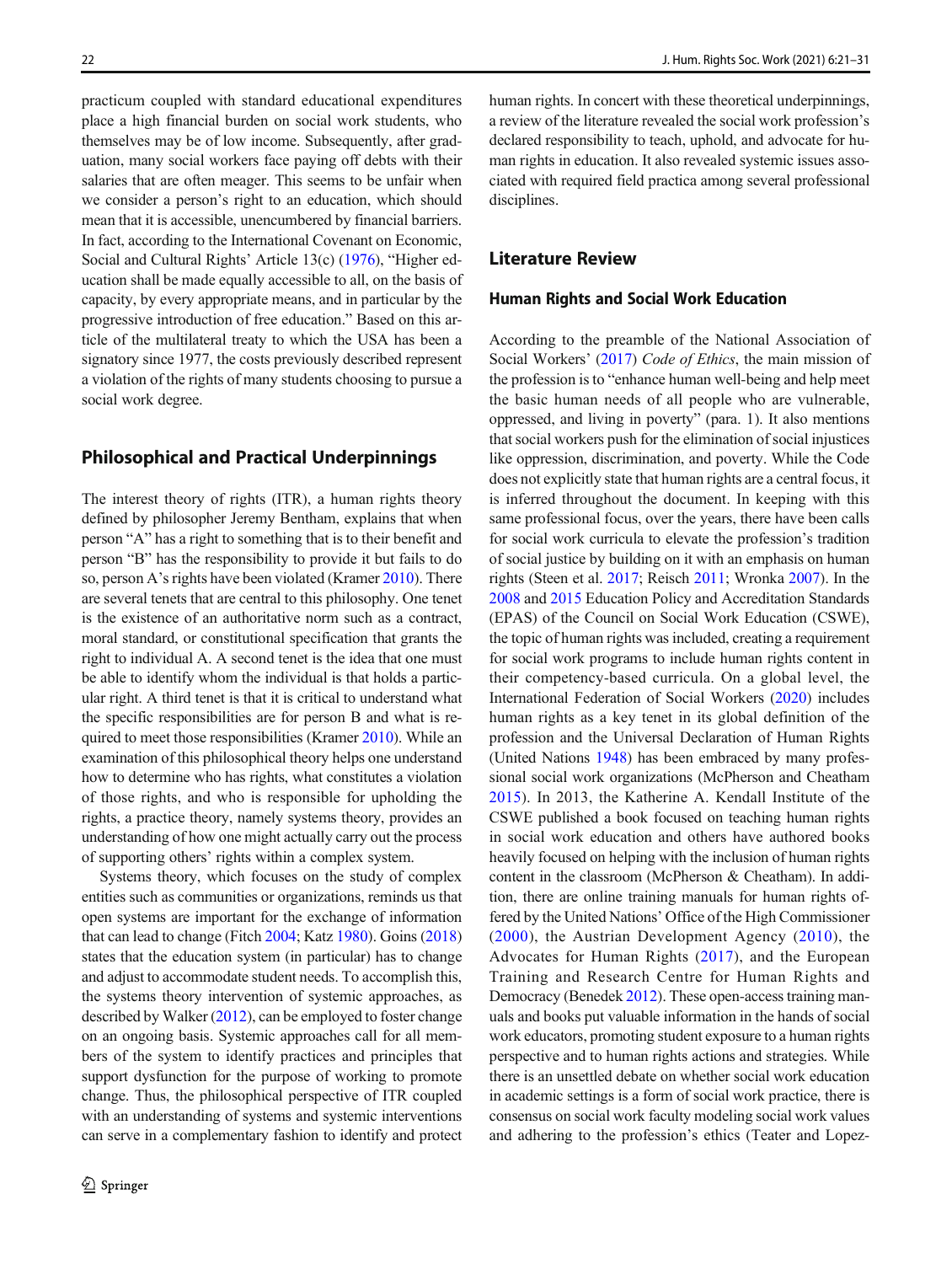practicum coupled with standard educational expenditures place a high financial burden on social work students, who themselves may be of low income. Subsequently, after graduation, many social workers face paying off debts with their salaries that are often meager. This seems to be unfair when we consider a person's right to an education, which should mean that it is accessible, unencumbered by financial barriers. In fact, according to the International Covenant on Economic, Social and Cultural Rights' Article 13(c) [\(1976\)](#page-9-0), "Higher education shall be made equally accessible to all, on the basis of capacity, by every appropriate means, and in particular by the progressive introduction of free education." Based on this article of the multilateral treaty to which the USA has been a signatory since 1977, the costs previously described represent a violation of the rights of many students choosing to pursue a social work degree.

# Philosophical and Practical Underpinnings

The interest theory of rights (ITR), a human rights theory defined by philosopher Jeremy Bentham, explains that when person "A" has a right to something that is to their benefit and person "B" has the responsibility to provide it but fails to do so, person A's rights have been violated (Kramer [2010](#page-9-0)). There are several tenets that are central to this philosophy. One tenet is the existence of an authoritative norm such as a contract, moral standard, or constitutional specification that grants the right to individual A. A second tenet is the idea that one must be able to identify whom the individual is that holds a particular right. A third tenet is that it is critical to understand what the specific responsibilities are for person B and what is required to meet those responsibilities (Kramer [2010](#page-9-0)). While an examination of this philosophical theory helps one understand how to determine who has rights, what constitutes a violation of those rights, and who is responsible for upholding the rights, a practice theory, namely systems theory, provides an understanding of how one might actually carry out the process of supporting others' rights within a complex system.

Systems theory, which focuses on the study of complex entities such as communities or organizations, reminds us that open systems are important for the exchange of information that can lead to change (Fitch [2004](#page-9-0); Katz [1980](#page-9-0)). Goins [\(2018\)](#page-9-0) states that the education system (in particular) has to change and adjust to accommodate student needs. To accomplish this, the systems theory intervention of systemic approaches, as described by Walker [\(2012\)](#page-10-0), can be employed to foster change on an ongoing basis. Systemic approaches call for all members of the system to identify practices and principles that support dysfunction for the purpose of working to promote change. Thus, the philosophical perspective of ITR coupled with an understanding of systems and systemic interventions can serve in a complementary fashion to identify and protect human rights. In concert with these theoretical underpinnings, a review of the literature revealed the social work profession's declared responsibility to teach, uphold, and advocate for human rights in education. It also revealed systemic issues associated with required field practica among several professional disciplines.

# Literature Review

### Human Rights and Social Work Education

According to the preamble of the National Association of Social Workers' [\(2017\)](#page-9-0) Code of Ethics, the main mission of the profession is to "enhance human well-being and help meet the basic human needs of all people who are vulnerable, oppressed, and living in poverty" (para. 1). It also mentions that social workers push for the elimination of social injustices like oppression, discrimination, and poverty. While the Code does not explicitly state that human rights are a central focus, it is inferred throughout the document. In keeping with this same professional focus, over the years, there have been calls for social work curricula to elevate the profession's tradition of social justice by building on it with an emphasis on human rights (Steen et al. [2017;](#page-9-0) Reisch [2011;](#page-9-0) Wronka [2007](#page-10-0)). In the [2008](#page-9-0) and [2015](#page-9-0) Education Policy and Accreditation Standards (EPAS) of the Council on Social Work Education (CSWE), the topic of human rights was included, creating a requirement for social work programs to include human rights content in their competency-based curricula. On a global level, the International Federation of Social Workers [\(2020\)](#page-9-0) includes human rights as a key tenet in its global definition of the profession and the Universal Declaration of Human Rights (United Nations [1948](#page-10-0)) has been embraced by many professional social work organizations (McPherson and Cheatham [2015](#page-9-0)). In 2013, the Katherine A. Kendall Institute of the CSWE published a book focused on teaching human rights in social work education and others have authored books heavily focused on helping with the inclusion of human rights content in the classroom (McPherson & Cheatham). In addition, there are online training manuals for human rights offered by the United Nations' Office of the High Commissioner ([2000\)](#page-10-0), the Austrian Development Agency ([2010](#page-9-0)), the Advocates for Human Rights [\(2017](#page-9-0)), and the European Training and Research Centre for Human Rights and Democracy (Benedek [2012](#page-9-0)). These open-access training manuals and books put valuable information in the hands of social work educators, promoting student exposure to a human rights perspective and to human rights actions and strategies. While there is an unsettled debate on whether social work education in academic settings is a form of social work practice, there is consensus on social work faculty modeling social work values and adhering to the profession's ethics (Teater and Lopez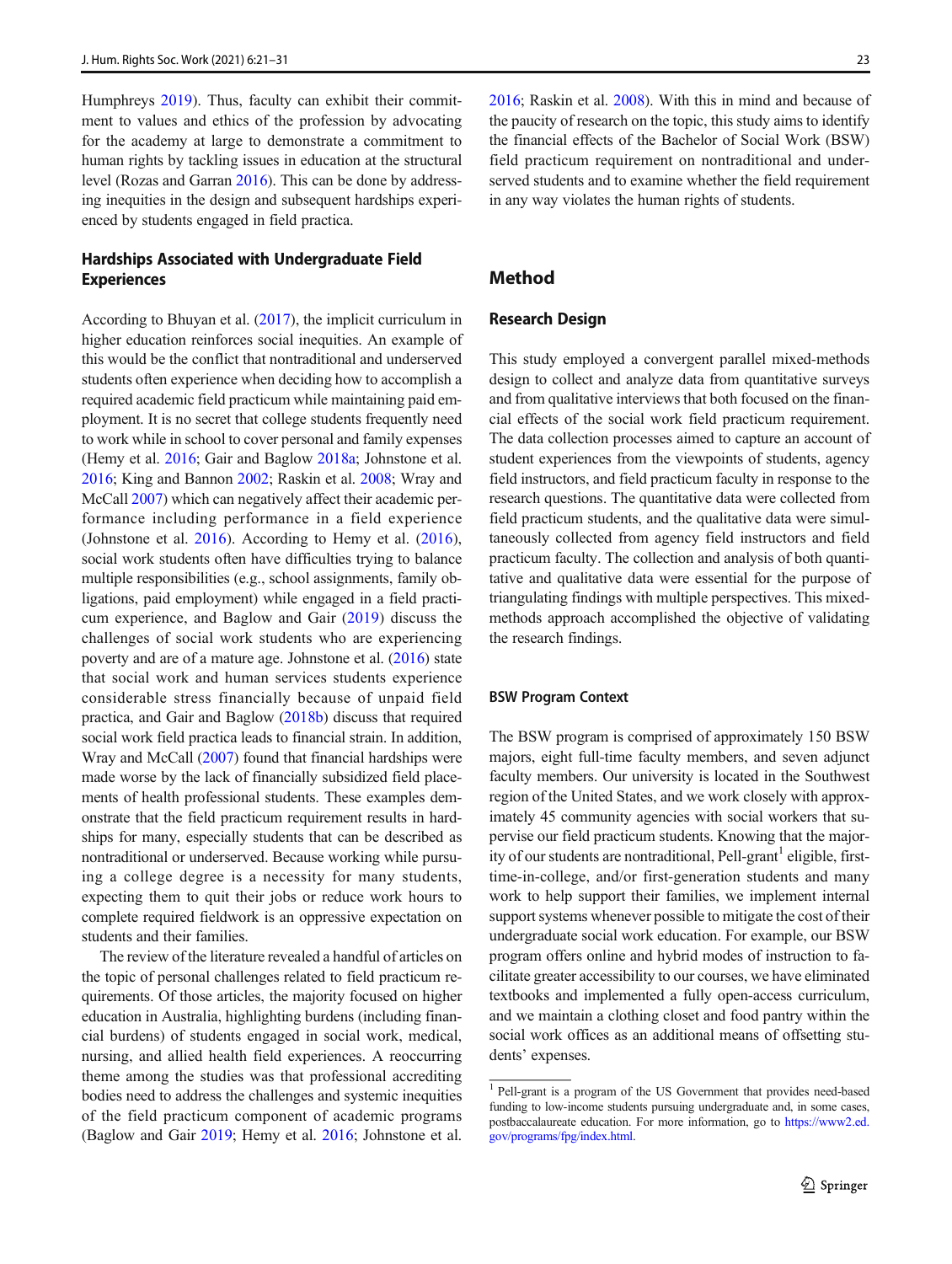Humphreys [2019](#page-10-0)). Thus, faculty can exhibit their commitment to values and ethics of the profession by advocating for the academy at large to demonstrate a commitment to human rights by tackling issues in education at the structural level (Rozas and Garran [2016](#page-9-0)). This can be done by addressing inequities in the design and subsequent hardships experienced by students engaged in field practica.

# Hardships Associated with Undergraduate Field Experiences

According to Bhuyan et al. [\(2017\)](#page-9-0), the implicit curriculum in higher education reinforces social inequities. An example of this would be the conflict that nontraditional and underserved students often experience when deciding how to accomplish a required academic field practicum while maintaining paid employment. It is no secret that college students frequently need to work while in school to cover personal and family expenses (Hemy et al. [2016;](#page-9-0) Gair and Baglow [2018a](#page-9-0); Johnstone et al. [2016;](#page-9-0) King and Bannon [2002](#page-9-0); Raskin et al. [2008](#page-9-0); Wray and McCall [2007\)](#page-10-0) which can negatively affect their academic performance including performance in a field experience (Johnstone et al. [2016\)](#page-9-0). According to Hemy et al. ([2016](#page-9-0)), social work students often have difficulties trying to balance multiple responsibilities (e.g., school assignments, family obligations, paid employment) while engaged in a field practicum experience, and Baglow and Gair [\(2019](#page-9-0)) discuss the challenges of social work students who are experiencing poverty and are of a mature age. Johnstone et al. [\(2016\)](#page-9-0) state that social work and human services students experience considerable stress financially because of unpaid field practica, and Gair and Baglow ([2018b](#page-9-0)) discuss that required social work field practica leads to financial strain. In addition, Wray and McCall ([2007](#page-10-0)) found that financial hardships were made worse by the lack of financially subsidized field placements of health professional students. These examples demonstrate that the field practicum requirement results in hardships for many, especially students that can be described as nontraditional or underserved. Because working while pursuing a college degree is a necessity for many students, expecting them to quit their jobs or reduce work hours to complete required fieldwork is an oppressive expectation on students and their families.

The review of the literature revealed a handful of articles on the topic of personal challenges related to field practicum requirements. Of those articles, the majority focused on higher education in Australia, highlighting burdens (including financial burdens) of students engaged in social work, medical, nursing, and allied health field experiences. A reoccurring theme among the studies was that professional accrediting bodies need to address the challenges and systemic inequities of the field practicum component of academic programs (Baglow and Gair [2019](#page-9-0); Hemy et al. [2016](#page-9-0); Johnstone et al.

[2016;](#page-9-0) Raskin et al. [2008](#page-9-0)). With this in mind and because of the paucity of research on the topic, this study aims to identify the financial effects of the Bachelor of Social Work (BSW) field practicum requirement on nontraditional and underserved students and to examine whether the field requirement in any way violates the human rights of students.

# Method

### Research Design

This study employed a convergent parallel mixed-methods design to collect and analyze data from quantitative surveys and from qualitative interviews that both focused on the financial effects of the social work field practicum requirement. The data collection processes aimed to capture an account of student experiences from the viewpoints of students, agency field instructors, and field practicum faculty in response to the research questions. The quantitative data were collected from field practicum students, and the qualitative data were simultaneously collected from agency field instructors and field practicum faculty. The collection and analysis of both quantitative and qualitative data were essential for the purpose of triangulating findings with multiple perspectives. This mixedmethods approach accomplished the objective of validating the research findings.

### BSW Program Context

The BSW program is comprised of approximately 150 BSW majors, eight full-time faculty members, and seven adjunct faculty members. Our university is located in the Southwest region of the United States, and we work closely with approximately 45 community agencies with social workers that supervise our field practicum students. Knowing that the majority of our students are nontraditional, Pell-grant<sup>1</sup> eligible, firsttime-in-college, and/or first-generation students and many work to help support their families, we implement internal support systems whenever possible to mitigate the cost of their undergraduate social work education. For example, our BSW program offers online and hybrid modes of instruction to facilitate greater accessibility to our courses, we have eliminated textbooks and implemented a fully open-access curriculum, and we maintain a clothing closet and food pantry within the social work offices as an additional means of offsetting students' expenses.

<sup>1</sup> Pell-grant is a program of the US Government that provides need-based funding to low-income students pursuing undergraduate and, in some cases, postbaccalaureate education. For more information, go to [https://www2.ed.](https://www2.ed.gov/programs/fpg/index.html) [gov/programs/fpg/index.html.](https://www2.ed.gov/programs/fpg/index.html)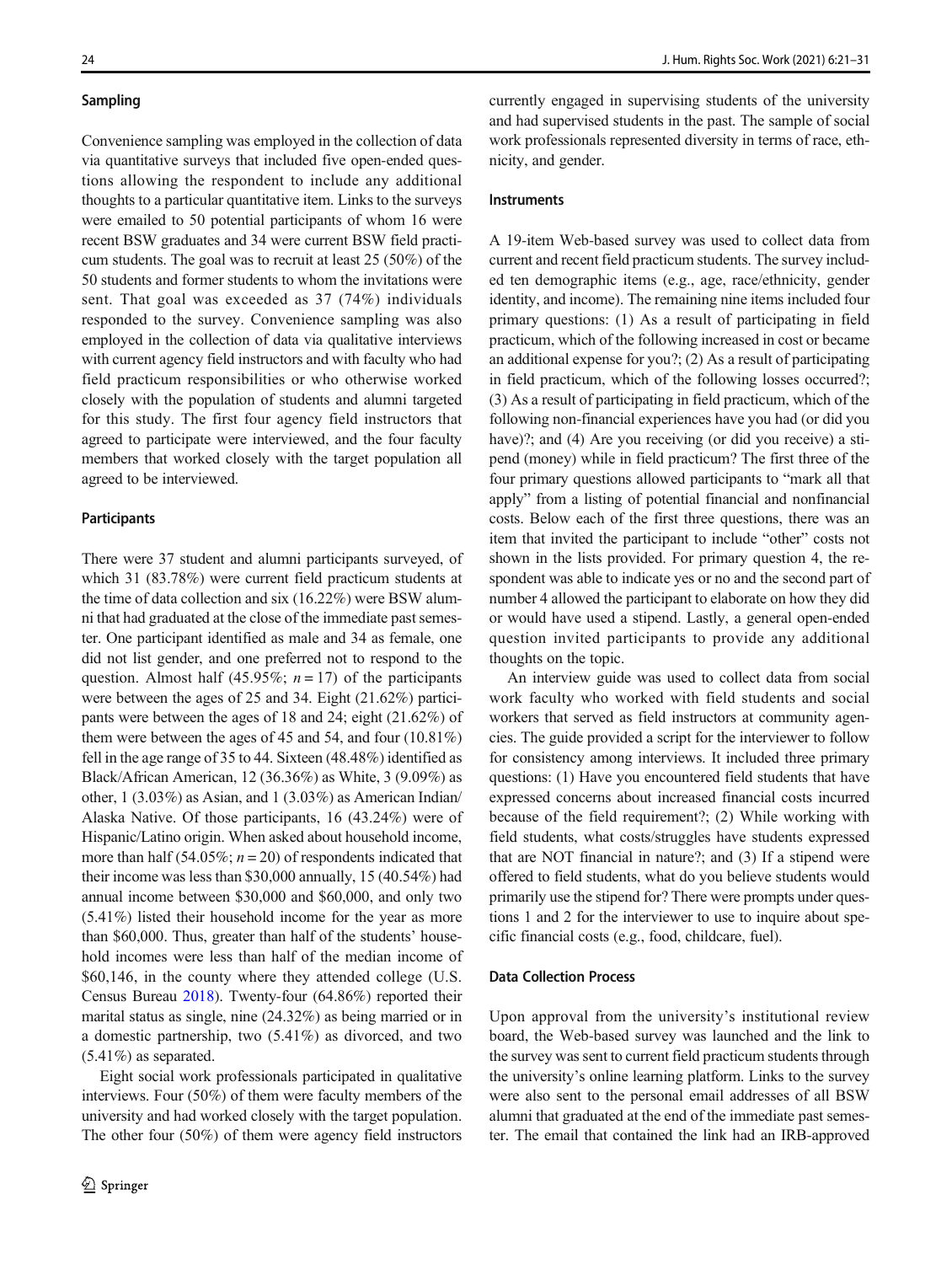#### **Sampling**

Convenience sampling was employed in the collection of data via quantitative surveys that included five open-ended questions allowing the respondent to include any additional thoughts to a particular quantitative item. Links to the surveys were emailed to 50 potential participants of whom 16 were recent BSW graduates and 34 were current BSW field practicum students. The goal was to recruit at least 25 (50%) of the 50 students and former students to whom the invitations were sent. That goal was exceeded as 37 (74%) individuals responded to the survey. Convenience sampling was also employed in the collection of data via qualitative interviews with current agency field instructors and with faculty who had field practicum responsibilities or who otherwise worked closely with the population of students and alumni targeted for this study. The first four agency field instructors that agreed to participate were interviewed, and the four faculty members that worked closely with the target population all agreed to be interviewed.

### Participants

There were 37 student and alumni participants surveyed, of which 31 (83.78%) were current field practicum students at the time of data collection and six (16.22%) were BSW alumni that had graduated at the close of the immediate past semester. One participant identified as male and 34 as female, one did not list gender, and one preferred not to respond to the question. Almost half (45.95%;  $n = 17$ ) of the participants were between the ages of 25 and 34. Eight (21.62%) participants were between the ages of 18 and 24; eight (21.62%) of them were between the ages of 45 and 54, and four (10.81%) fell in the age range of 35 to 44. Sixteen (48.48%) identified as Black/African American, 12 (36.36%) as White, 3 (9.09%) as other, 1 (3.03%) as Asian, and 1 (3.03%) as American Indian/ Alaska Native. Of those participants, 16 (43.24%) were of Hispanic/Latino origin. When asked about household income, more than half (54.05%;  $n = 20$ ) of respondents indicated that their income was less than \$30,000 annually, 15 (40.54%) had annual income between \$30,000 and \$60,000, and only two (5.41%) listed their household income for the year as more than \$60,000. Thus, greater than half of the students' household incomes were less than half of the median income of \$60,146, in the county where they attended college (U.S. Census Bureau [2018](#page-10-0)). Twenty-four (64.86%) reported their marital status as single, nine (24.32%) as being married or in a domestic partnership, two (5.41%) as divorced, and two  $(5.41\%)$  as separated.

Eight social work professionals participated in qualitative interviews. Four (50%) of them were faculty members of the university and had worked closely with the target population. The other four (50%) of them were agency field instructors currently engaged in supervising students of the university and had supervised students in the past. The sample of social work professionals represented diversity in terms of race, ethnicity, and gender.

#### Instruments

A 19-item Web-based survey was used to collect data from current and recent field practicum students. The survey included ten demographic items (e.g., age, race/ethnicity, gender identity, and income). The remaining nine items included four primary questions: (1) As a result of participating in field practicum, which of the following increased in cost or became an additional expense for you?; (2) As a result of participating in field practicum, which of the following losses occurred?; (3) As a result of participating in field practicum, which of the following non-financial experiences have you had (or did you have)?; and (4) Are you receiving (or did you receive) a stipend (money) while in field practicum? The first three of the four primary questions allowed participants to "mark all that apply" from a listing of potential financial and nonfinancial costs. Below each of the first three questions, there was an item that invited the participant to include "other" costs not shown in the lists provided. For primary question 4, the respondent was able to indicate yes or no and the second part of number 4 allowed the participant to elaborate on how they did or would have used a stipend. Lastly, a general open-ended question invited participants to provide any additional thoughts on the topic.

An interview guide was used to collect data from social work faculty who worked with field students and social workers that served as field instructors at community agencies. The guide provided a script for the interviewer to follow for consistency among interviews. It included three primary questions: (1) Have you encountered field students that have expressed concerns about increased financial costs incurred because of the field requirement?; (2) While working with field students, what costs/struggles have students expressed that are NOT financial in nature?; and (3) If a stipend were offered to field students, what do you believe students would primarily use the stipend for? There were prompts under questions 1 and 2 for the interviewer to use to inquire about specific financial costs (e.g., food, childcare, fuel).

#### Data Collection Process

Upon approval from the university's institutional review board, the Web-based survey was launched and the link to the survey was sent to current field practicum students through the university's online learning platform. Links to the survey were also sent to the personal email addresses of all BSW alumni that graduated at the end of the immediate past semester. The email that contained the link had an IRB-approved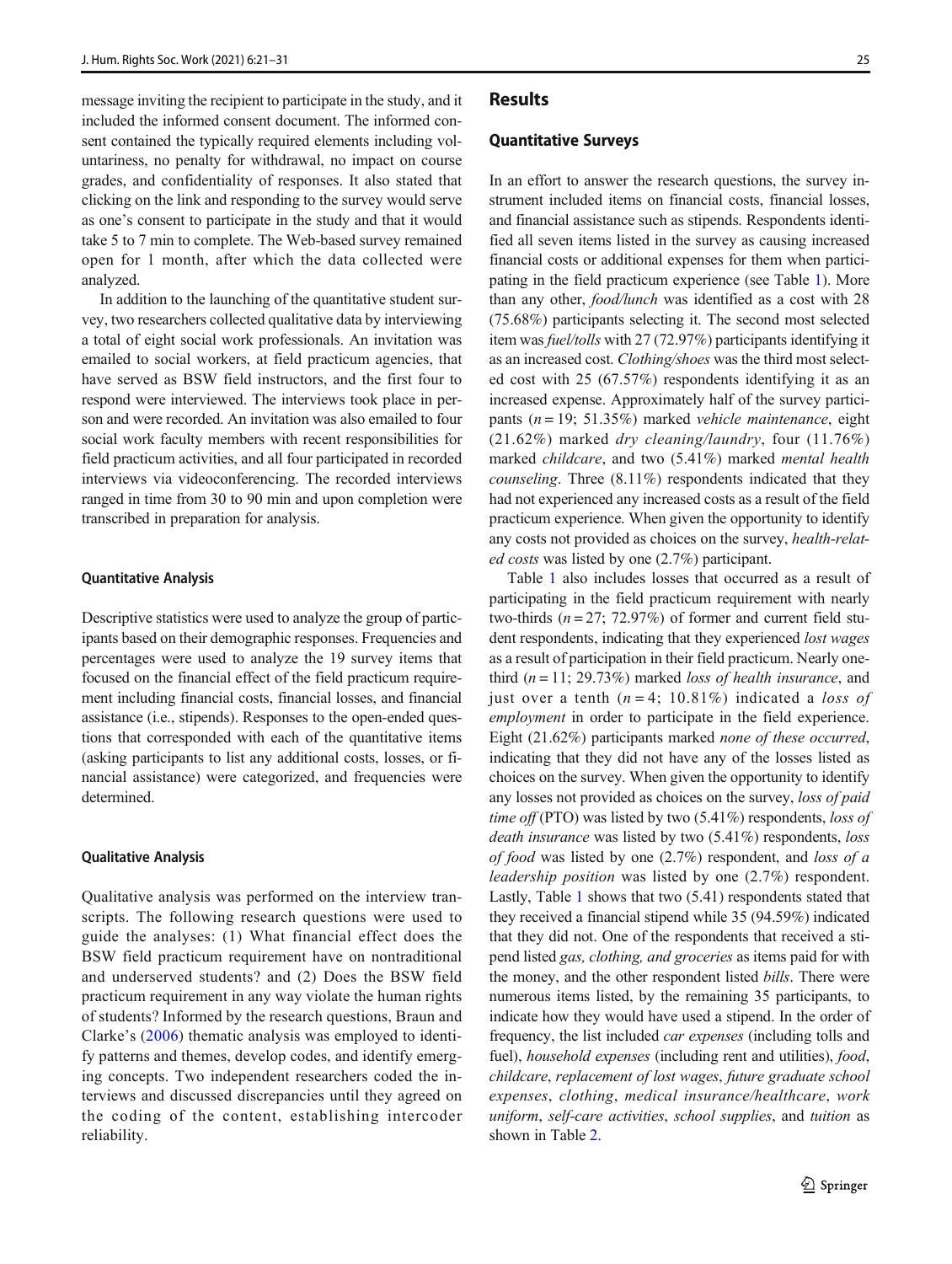message inviting the recipient to participate in the study, and it included the informed consent document. The informed consent contained the typically required elements including voluntariness, no penalty for withdrawal, no impact on course grades, and confidentiality of responses. It also stated that clicking on the link and responding to the survey would serve as one's consent to participate in the study and that it would take 5 to 7 min to complete. The Web-based survey remained open for 1 month, after which the data collected were analyzed.

In addition to the launching of the quantitative student survey, two researchers collected qualitative data by interviewing a total of eight social work professionals. An invitation was emailed to social workers, at field practicum agencies, that have served as BSW field instructors, and the first four to respond were interviewed. The interviews took place in person and were recorded. An invitation was also emailed to four social work faculty members with recent responsibilities for field practicum activities, and all four participated in recorded interviews via videoconferencing. The recorded interviews ranged in time from 30 to 90 min and upon completion were transcribed in preparation for analysis.

#### Quantitative Analysis

Descriptive statistics were used to analyze the group of participants based on their demographic responses. Frequencies and percentages were used to analyze the 19 survey items that focused on the financial effect of the field practicum requirement including financial costs, financial losses, and financial assistance (i.e., stipends). Responses to the open-ended questions that corresponded with each of the quantitative items (asking participants to list any additional costs, losses, or financial assistance) were categorized, and frequencies were determined.

#### Qualitative Analysis

Qualitative analysis was performed on the interview transcripts. The following research questions were used to guide the analyses: (1) What financial effect does the BSW field practicum requirement have on nontraditional and underserved students? and (2) Does the BSW field practicum requirement in any way violate the human rights of students? Informed by the research questions, Braun and Clarke's [\(2006\)](#page-9-0) thematic analysis was employed to identify patterns and themes, develop codes, and identify emerging concepts. Two independent researchers coded the interviews and discussed discrepancies until they agreed on the coding of the content, establishing intercoder reliability.

### Results

### Quantitative Surveys

In an effort to answer the research questions, the survey instrument included items on financial costs, financial losses, and financial assistance such as stipends. Respondents identified all seven items listed in the survey as causing increased financial costs or additional expenses for them when participating in the field practicum experience (see Table [1](#page-5-0)). More than any other, food/lunch was identified as a cost with 28 (75.68%) participants selecting it. The second most selected item was fuel/tolls with 27 (72.97%) participants identifying it as an increased cost. Clothing/shoes was the third most selected cost with 25 (67.57%) respondents identifying it as an increased expense. Approximately half of the survey participants ( $n = 19$ ; 51.35%) marked vehicle maintenance, eight (21.62%) marked dry cleaning/laundry, four (11.76%) marked childcare, and two (5.41%) marked mental health counseling. Three (8.11%) respondents indicated that they had not experienced any increased costs as a result of the field practicum experience. When given the opportunity to identify any costs not provided as choices on the survey, health-related costs was listed by one (2.7%) participant.

Table [1](#page-5-0) also includes losses that occurred as a result of participating in the field practicum requirement with nearly two-thirds  $(n = 27; 72.97%)$  of former and current field student respondents, indicating that they experienced lost wages as a result of participation in their field practicum. Nearly onethird  $(n = 11; 29.73\%)$  marked loss of health insurance, and just over a tenth  $(n=4; 10.81%)$  indicated a loss of employment in order to participate in the field experience. Eight (21.62%) participants marked none of these occurred, indicating that they did not have any of the losses listed as choices on the survey. When given the opportunity to identify any losses not provided as choices on the survey, loss of paid time off (PTO) was listed by two (5.41%) respondents, loss of death insurance was listed by two  $(5.41\%)$  respondents, loss of food was listed by one  $(2.7\%)$  respondent, and loss of a leadership position was listed by one (2.7%) respondent. Lastly, Table [1](#page-5-0) shows that two (5.41) respondents stated that they received a financial stipend while 35 (94.59%) indicated that they did not. One of the respondents that received a stipend listed gas, clothing, and groceries as items paid for with the money, and the other respondent listed *bills*. There were numerous items listed, by the remaining 35 participants, to indicate how they would have used a stipend. In the order of frequency, the list included car expenses (including tolls and fuel), *household expenses* (including rent and utilities), *food*, childcare, replacement of lost wages, future graduate school expenses, clothing, medical insurance/healthcare, work uniform, self-care activities, school supplies, and tuition as shown in Table [2](#page-5-0).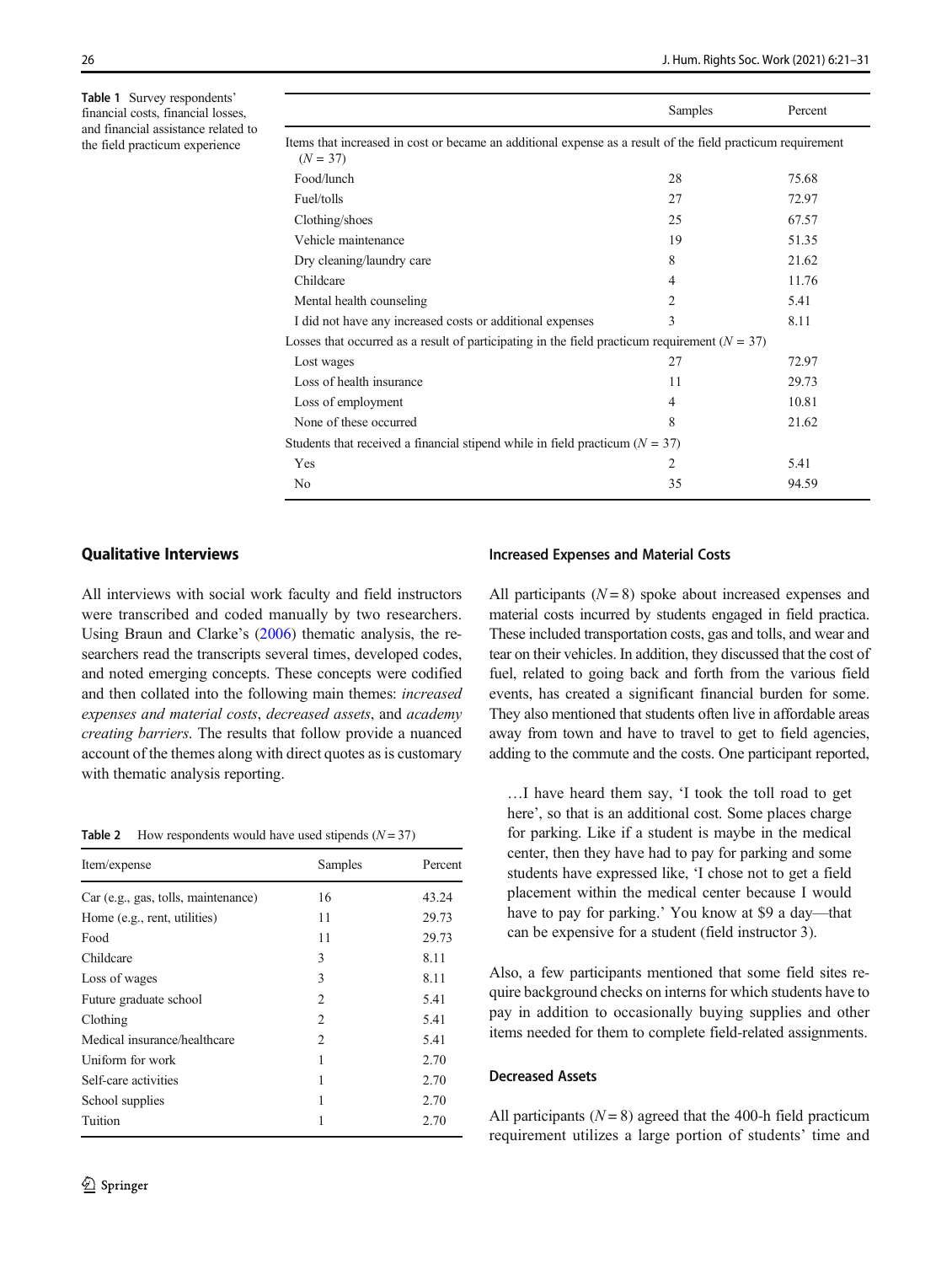<span id="page-5-0"></span>Table 1 Survey respondents' financial costs, financial losses, and financial assistance related to the field practicum experience

|                                                                                                                           | Samples        | Percent |
|---------------------------------------------------------------------------------------------------------------------------|----------------|---------|
| Items that increased in cost or became an additional expense as a result of the field practicum requirement<br>$(N = 37)$ |                |         |
| Food/lunch                                                                                                                | 28             | 75.68   |
| Fuel/tolls                                                                                                                | 27             | 72.97   |
| Clothing/shoes                                                                                                            | 25             | 67.57   |
| Vehicle maintenance                                                                                                       | 19             | 51.35   |
| Dry cleaning/laundry care                                                                                                 | 8              | 21.62   |
| Childcare                                                                                                                 | 4              | 11.76   |
| Mental health counseling                                                                                                  | $\overline{c}$ | 5.41    |
| I did not have any increased costs or additional expenses                                                                 | 3              | 8.11    |
| Losses that occurred as a result of participating in the field practicum requirement ( $N = 37$ )                         |                |         |
| Lost wages                                                                                                                | 27             | 72.97   |
| Loss of health insurance                                                                                                  | 11             | 29.73   |
| Loss of employment                                                                                                        | 4              | 10.81   |
| None of these occurred                                                                                                    | 8              | 21.62   |
| Students that received a financial stipend while in field practicum $(N = 37)$                                            |                |         |
| Yes                                                                                                                       | $\overline{c}$ | 5.41    |
| No                                                                                                                        | 35             | 94.59   |
|                                                                                                                           |                |         |

## Qualitative Interviews

All interviews with social work faculty and field instructors were transcribed and coded manually by two researchers. Using Braun and Clarke's ([2006](#page-9-0)) thematic analysis, the researchers read the transcripts several times, developed codes, and noted emerging concepts. These concepts were codified and then collated into the following main themes: increased expenses and material costs, decreased assets, and academy creating barriers. The results that follow provide a nuanced account of the themes along with direct quotes as is customary with thematic analysis reporting.

**Table 2** How respondents would have used stipends  $(N = 37)$ 

| Item/expense                        | Samples | Percent |
|-------------------------------------|---------|---------|
| Car (e.g., gas, tolls, maintenance) | 16      | 43.24   |
| Home (e.g., rent, utilities)        | 11      | 29.73   |
| Food                                | 11      | 29.73   |
| Childcare                           | 3       | 8.11    |
| Loss of wages                       | 3       | 8.11    |
| Future graduate school              | 2       | 5.41    |
| Clothing                            | 2       | 5.41    |
| Medical insurance/healthcare        | 2       | 5.41    |
| Uniform for work                    | 1       | 2.70    |
| Self-care activities                | 1       | 2.70    |
| School supplies                     | 1       | 2.70    |
| Tuition                             | 1       | 2.70    |

#### Increased Expenses and Material Costs

All participants  $(N = 8)$  spoke about increased expenses and material costs incurred by students engaged in field practica. These included transportation costs, gas and tolls, and wear and tear on their vehicles. In addition, they discussed that the cost of fuel, related to going back and forth from the various field events, has created a significant financial burden for some. They also mentioned that students often live in affordable areas away from town and have to travel to get to field agencies, adding to the commute and the costs. One participant reported,

…I have heard them say, 'I took the toll road to get here', so that is an additional cost. Some places charge for parking. Like if a student is maybe in the medical center, then they have had to pay for parking and some students have expressed like, 'I chose not to get a field placement within the medical center because I would have to pay for parking.' You know at \$9 a day—that can be expensive for a student (field instructor 3).

Also, a few participants mentioned that some field sites require background checks on interns for which students have to pay in addition to occasionally buying supplies and other items needed for them to complete field-related assignments.

### Decreased Assets

All participants ( $N = 8$ ) agreed that the 400-h field practicum requirement utilizes a large portion of students' time and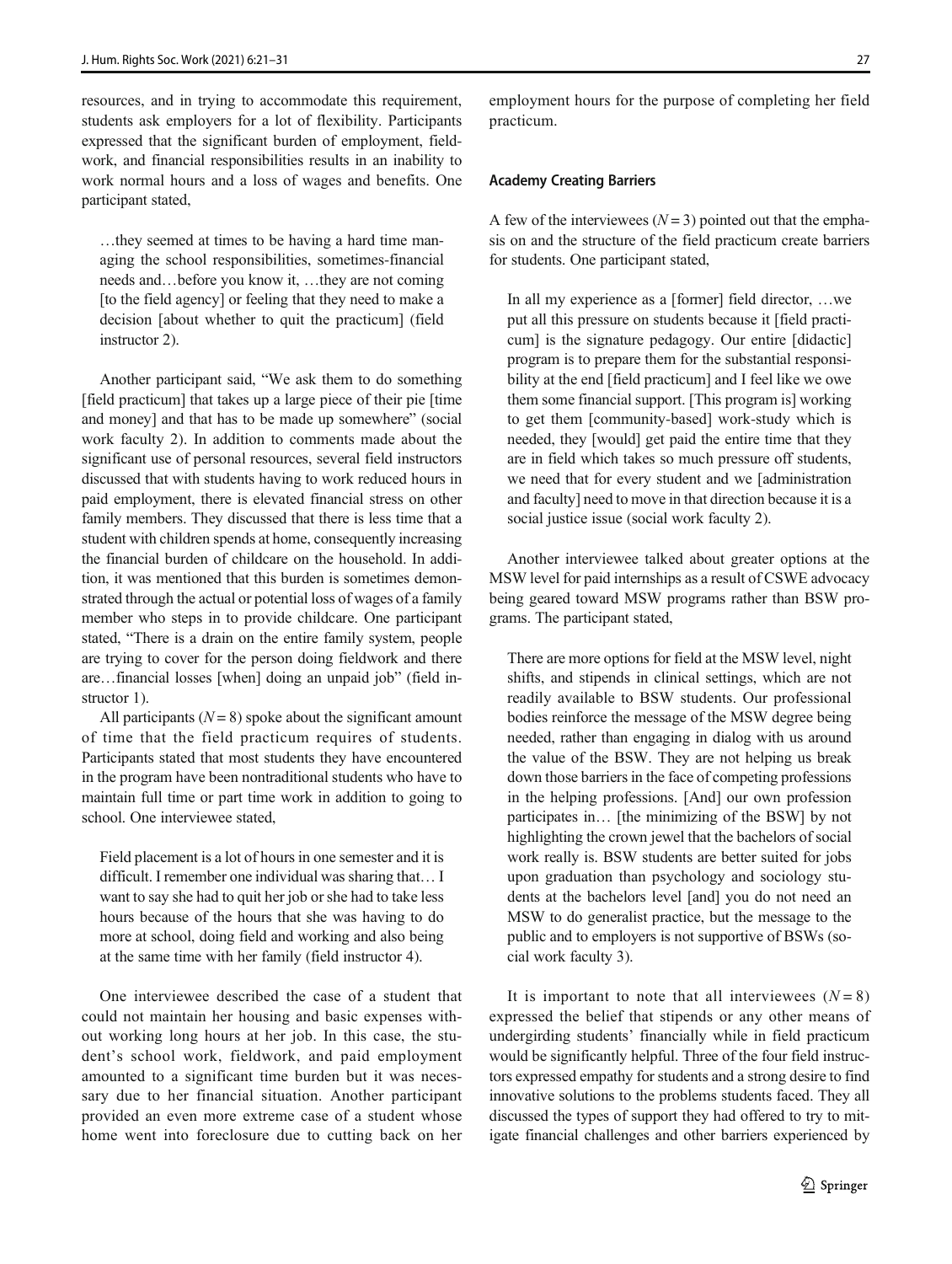resources, and in trying to accommodate this requirement, students ask employers for a lot of flexibility. Participants expressed that the significant burden of employment, fieldwork, and financial responsibilities results in an inability to work normal hours and a loss of wages and benefits. One participant stated,

…they seemed at times to be having a hard time managing the school responsibilities, sometimes-financial needs and…before you know it, …they are not coming [to the field agency] or feeling that they need to make a decision [about whether to quit the practicum] (field instructor 2).

Another participant said, "We ask them to do something [field practicum] that takes up a large piece of their pie [time and money] and that has to be made up somewhere" (social work faculty 2). In addition to comments made about the significant use of personal resources, several field instructors discussed that with students having to work reduced hours in paid employment, there is elevated financial stress on other family members. They discussed that there is less time that a student with children spends at home, consequently increasing the financial burden of childcare on the household. In addition, it was mentioned that this burden is sometimes demonstrated through the actual or potential loss of wages of a family member who steps in to provide childcare. One participant stated, "There is a drain on the entire family system, people are trying to cover for the person doing fieldwork and there are…financial losses [when] doing an unpaid job" (field instructor 1).

All participants  $(N = 8)$  spoke about the significant amount of time that the field practicum requires of students. Participants stated that most students they have encountered in the program have been nontraditional students who have to maintain full time or part time work in addition to going to school. One interviewee stated,

Field placement is a lot of hours in one semester and it is difficult. I remember one individual was sharing that… I want to say she had to quit her job or she had to take less hours because of the hours that she was having to do more at school, doing field and working and also being at the same time with her family (field instructor 4).

One interviewee described the case of a student that could not maintain her housing and basic expenses without working long hours at her job. In this case, the student's school work, fieldwork, and paid employment amounted to a significant time burden but it was necessary due to her financial situation. Another participant provided an even more extreme case of a student whose home went into foreclosure due to cutting back on her

employment hours for the purpose of completing her field practicum.

### Academy Creating Barriers

A few of the interviewees  $(N=3)$  pointed out that the emphasis on and the structure of the field practicum create barriers for students. One participant stated,

In all my experience as a [former] field director, …we put all this pressure on students because it [field practicum] is the signature pedagogy. Our entire [didactic] program is to prepare them for the substantial responsibility at the end [field practicum] and I feel like we owe them some financial support. [This program is] working to get them [community-based] work-study which is needed, they [would] get paid the entire time that they are in field which takes so much pressure off students, we need that for every student and we [administration and faculty] need to move in that direction because it is a social justice issue (social work faculty 2).

Another interviewee talked about greater options at the MSW level for paid internships as a result of CSWE advocacy being geared toward MSW programs rather than BSW programs. The participant stated,

There are more options for field at the MSW level, night shifts, and stipends in clinical settings, which are not readily available to BSW students. Our professional bodies reinforce the message of the MSW degree being needed, rather than engaging in dialog with us around the value of the BSW. They are not helping us break down those barriers in the face of competing professions in the helping professions. [And] our own profession participates in… [the minimizing of the BSW] by not highlighting the crown jewel that the bachelors of social work really is. BSW students are better suited for jobs upon graduation than psychology and sociology students at the bachelors level [and] you do not need an MSW to do generalist practice, but the message to the public and to employers is not supportive of BSWs (social work faculty 3).

It is important to note that all interviewees  $(N = 8)$ expressed the belief that stipends or any other means of undergirding students' financially while in field practicum would be significantly helpful. Three of the four field instructors expressed empathy for students and a strong desire to find innovative solutions to the problems students faced. They all discussed the types of support they had offered to try to mitigate financial challenges and other barriers experienced by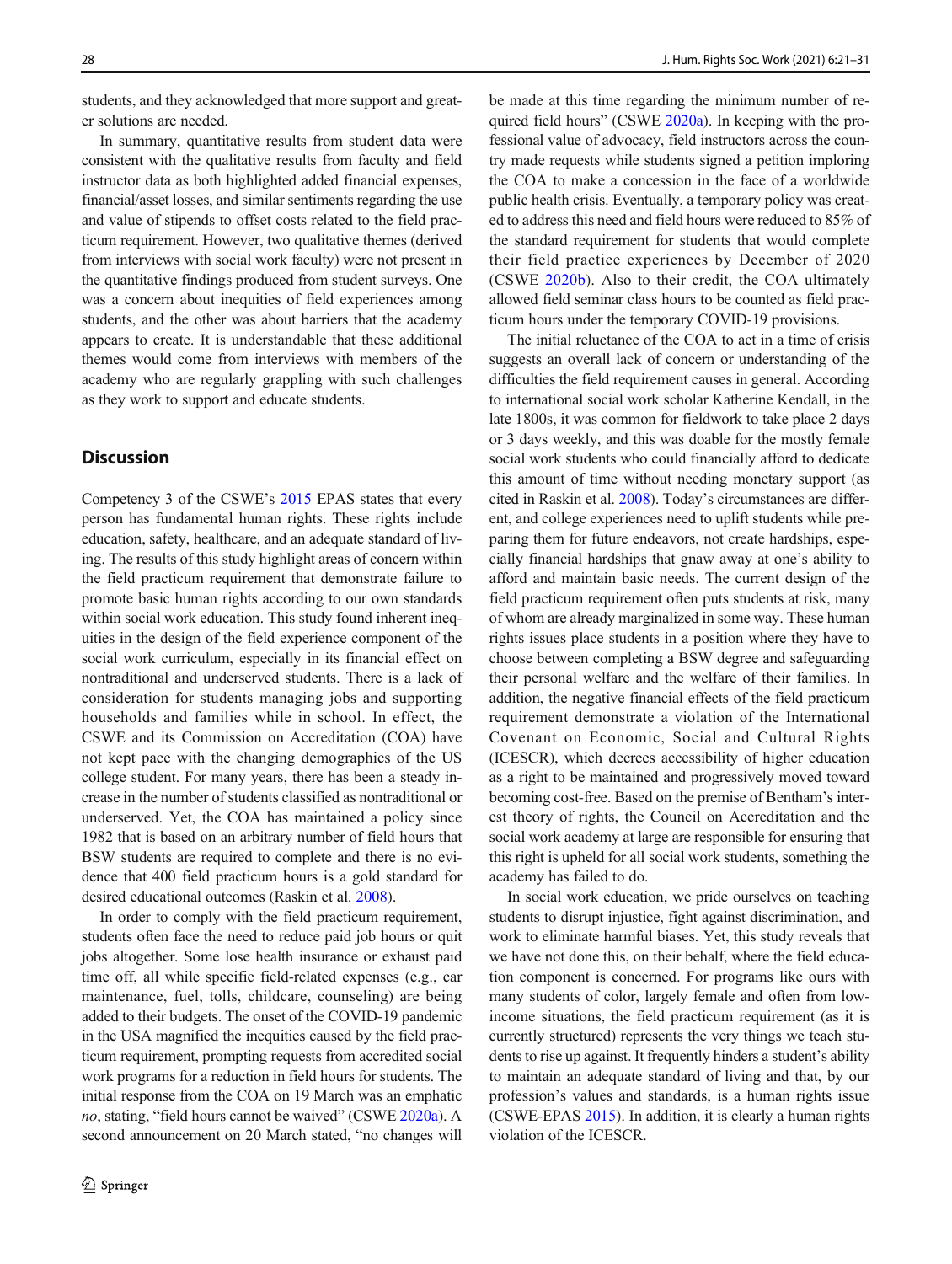students, and they acknowledged that more support and greater solutions are needed.

In summary, quantitative results from student data were consistent with the qualitative results from faculty and field instructor data as both highlighted added financial expenses, financial/asset losses, and similar sentiments regarding the use and value of stipends to offset costs related to the field practicum requirement. However, two qualitative themes (derived from interviews with social work faculty) were not present in the quantitative findings produced from student surveys. One was a concern about inequities of field experiences among students, and the other was about barriers that the academy appears to create. It is understandable that these additional themes would come from interviews with members of the academy who are regularly grappling with such challenges as they work to support and educate students.

# **Discussion**

Competency 3 of the CSWE's [2015](#page-9-0) EPAS states that every person has fundamental human rights. These rights include education, safety, healthcare, and an adequate standard of living. The results of this study highlight areas of concern within the field practicum requirement that demonstrate failure to promote basic human rights according to our own standards within social work education. This study found inherent inequities in the design of the field experience component of the social work curriculum, especially in its financial effect on nontraditional and underserved students. There is a lack of consideration for students managing jobs and supporting households and families while in school. In effect, the CSWE and its Commission on Accreditation (COA) have not kept pace with the changing demographics of the US college student. For many years, there has been a steady increase in the number of students classified as nontraditional or underserved. Yet, the COA has maintained a policy since 1982 that is based on an arbitrary number of field hours that BSW students are required to complete and there is no evidence that 400 field practicum hours is a gold standard for desired educational outcomes (Raskin et al. [2008](#page-9-0)).

In order to comply with the field practicum requirement, students often face the need to reduce paid job hours or quit jobs altogether. Some lose health insurance or exhaust paid time off, all while specific field-related expenses (e.g., car maintenance, fuel, tolls, childcare, counseling) are being added to their budgets. The onset of the COVID-19 pandemic in the USA magnified the inequities caused by the field practicum requirement, prompting requests from accredited social work programs for a reduction in field hours for students. The initial response from the COA on 19 March was an emphatic no, stating, "field hours cannot be waived" (CSWE [2020a](#page-9-0)). A second announcement on 20 March stated, "no changes will

be made at this time regarding the minimum number of re-quired field hours" (CSWE [2020a](#page-9-0)). In keeping with the professional value of advocacy, field instructors across the country made requests while students signed a petition imploring the COA to make a concession in the face of a worldwide public health crisis. Eventually, a temporary policy was created to address this need and field hours were reduced to 85% of the standard requirement for students that would complete their field practice experiences by December of 2020 (CSWE [2020b\)](#page-9-0). Also to their credit, the COA ultimately allowed field seminar class hours to be counted as field practicum hours under the temporary COVID-19 provisions.

The initial reluctance of the COA to act in a time of crisis suggests an overall lack of concern or understanding of the difficulties the field requirement causes in general. According to international social work scholar Katherine Kendall, in the late 1800s, it was common for fieldwork to take place 2 days or 3 days weekly, and this was doable for the mostly female social work students who could financially afford to dedicate this amount of time without needing monetary support (as cited in Raskin et al. [2008\)](#page-9-0). Today's circumstances are different, and college experiences need to uplift students while preparing them for future endeavors, not create hardships, especially financial hardships that gnaw away at one's ability to afford and maintain basic needs. The current design of the field practicum requirement often puts students at risk, many of whom are already marginalized in some way. These human rights issues place students in a position where they have to choose between completing a BSW degree and safeguarding their personal welfare and the welfare of their families. In addition, the negative financial effects of the field practicum requirement demonstrate a violation of the International Covenant on Economic, Social and Cultural Rights (ICESCR), which decrees accessibility of higher education as a right to be maintained and progressively moved toward becoming cost-free. Based on the premise of Bentham's interest theory of rights, the Council on Accreditation and the social work academy at large are responsible for ensuring that this right is upheld for all social work students, something the academy has failed to do.

In social work education, we pride ourselves on teaching students to disrupt injustice, fight against discrimination, and work to eliminate harmful biases. Yet, this study reveals that we have not done this, on their behalf, where the field education component is concerned. For programs like ours with many students of color, largely female and often from lowincome situations, the field practicum requirement (as it is currently structured) represents the very things we teach students to rise up against. It frequently hinders a student's ability to maintain an adequate standard of living and that, by our profession's values and standards, is a human rights issue (CSWE-EPAS [2015\)](#page-9-0). In addition, it is clearly a human rights violation of the ICESCR.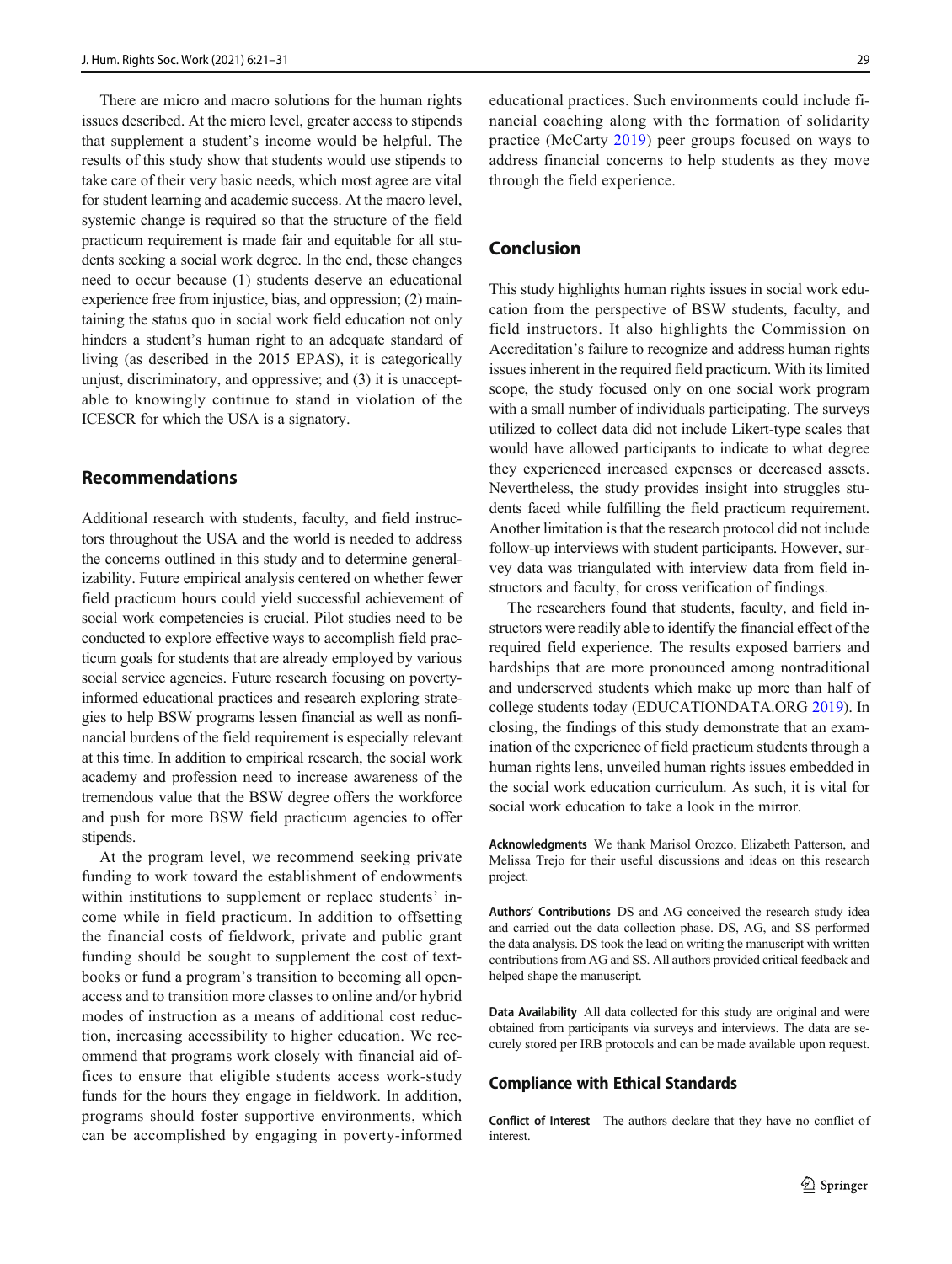There are micro and macro solutions for the human rights issues described. At the micro level, greater access to stipends that supplement a student's income would be helpful. The results of this study show that students would use stipends to take care of their very basic needs, which most agree are vital for student learning and academic success. At the macro level, systemic change is required so that the structure of the field practicum requirement is made fair and equitable for all students seeking a social work degree. In the end, these changes need to occur because (1) students deserve an educational experience free from injustice, bias, and oppression; (2) maintaining the status quo in social work field education not only hinders a student's human right to an adequate standard of living (as described in the 2015 EPAS), it is categorically unjust, discriminatory, and oppressive; and (3) it is unacceptable to knowingly continue to stand in violation of the ICESCR for which the USA is a signatory.

# Recommendations

Additional research with students, faculty, and field instructors throughout the USA and the world is needed to address the concerns outlined in this study and to determine generalizability. Future empirical analysis centered on whether fewer field practicum hours could yield successful achievement of social work competencies is crucial. Pilot studies need to be conducted to explore effective ways to accomplish field practicum goals for students that are already employed by various social service agencies. Future research focusing on povertyinformed educational practices and research exploring strategies to help BSW programs lessen financial as well as nonfinancial burdens of the field requirement is especially relevant at this time. In addition to empirical research, the social work academy and profession need to increase awareness of the tremendous value that the BSW degree offers the workforce and push for more BSW field practicum agencies to offer stipends.

At the program level, we recommend seeking private funding to work toward the establishment of endowments within institutions to supplement or replace students' income while in field practicum. In addition to offsetting the financial costs of fieldwork, private and public grant funding should be sought to supplement the cost of textbooks or fund a program's transition to becoming all openaccess and to transition more classes to online and/or hybrid modes of instruction as a means of additional cost reduction, increasing accessibility to higher education. We recommend that programs work closely with financial aid offices to ensure that eligible students access work-study funds for the hours they engage in fieldwork. In addition, programs should foster supportive environments, which can be accomplished by engaging in poverty-informed

educational practices. Such environments could include financial coaching along with the formation of solidarity practice (McCarty [2019\)](#page-9-0) peer groups focused on ways to address financial concerns to help students as they move through the field experience.

# Conclusion

This study highlights human rights issues in social work education from the perspective of BSW students, faculty, and field instructors. It also highlights the Commission on Accreditation's failure to recognize and address human rights issues inherent in the required field practicum. With its limited scope, the study focused only on one social work program with a small number of individuals participating. The surveys utilized to collect data did not include Likert-type scales that would have allowed participants to indicate to what degree they experienced increased expenses or decreased assets. Nevertheless, the study provides insight into struggles students faced while fulfilling the field practicum requirement. Another limitation is that the research protocol did not include follow-up interviews with student participants. However, survey data was triangulated with interview data from field instructors and faculty, for cross verification of findings.

The researchers found that students, faculty, and field instructors were readily able to identify the financial effect of the required field experience. The results exposed barriers and hardships that are more pronounced among nontraditional and underserved students which make up more than half of college students today (EDUCATIONDATA.ORG [2019\)](#page-9-0). In closing, the findings of this study demonstrate that an examination of the experience of field practicum students through a human rights lens, unveiled human rights issues embedded in the social work education curriculum. As such, it is vital for social work education to take a look in the mirror.

Acknowledgments We thank Marisol Orozco, Elizabeth Patterson, and Melissa Trejo for their useful discussions and ideas on this research project.

Authors' Contributions DS and AG conceived the research study idea and carried out the data collection phase. DS, AG, and SS performed the data analysis. DS took the lead on writing the manuscript with written contributions from AG and SS. All authors provided critical feedback and helped shape the manuscript.

Data Availability All data collected for this study are original and were obtained from participants via surveys and interviews. The data are securely stored per IRB protocols and can be made available upon request.

### Compliance with Ethical Standards

Conflict of Interest The authors declare that they have no conflict of interest.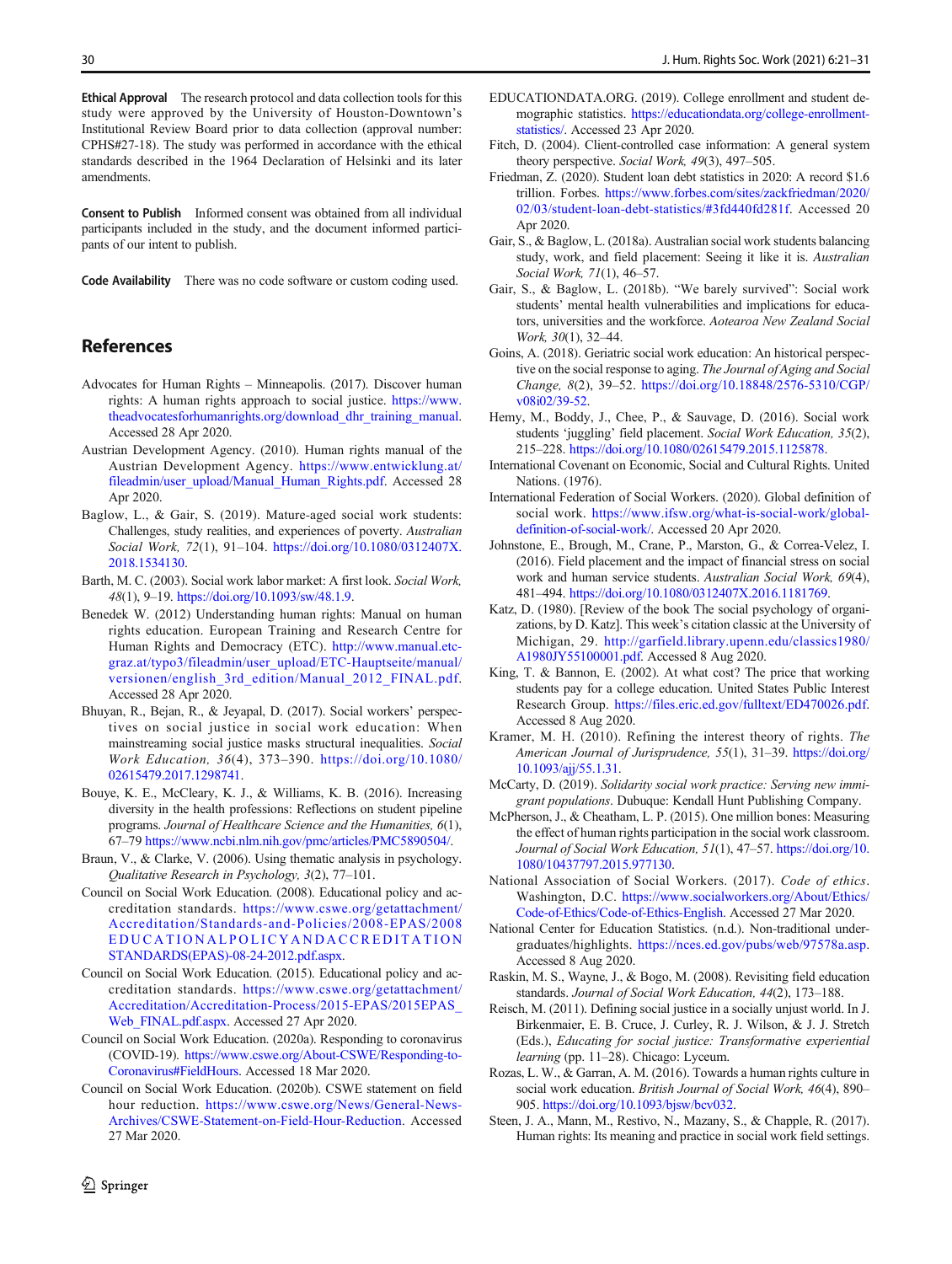<span id="page-9-0"></span>Ethical Approval The research protocol and data collection tools for this study were approved by the University of Houston-Downtown's Institutional Review Board prior to data collection (approval number: CPHS#27-18). The study was performed in accordance with the ethical standards described in the 1964 Declaration of Helsinki and its later amendments.

Consent to Publish Informed consent was obtained from all individual participants included in the study, and the document informed participants of our intent to publish.

Code Availability There was no code software or custom coding used.

# **References**

- Advocates for Human Rights Minneapolis. (2017). Discover human rights: A human rights approach to social justice. [https://www.](https://www.theadvocatesforhumanrights.org/download_dhr_training_manual) [theadvocatesforhumanrights.org/download\\_dhr\\_training\\_manual](https://www.theadvocatesforhumanrights.org/download_dhr_training_manual). Accessed 28 Apr 2020.
- Austrian Development Agency. (2010). Human rights manual of the Austrian Development Agency. [https://www.entwicklung.at/](https://www.entwicklung.at/fileadmin/user_upload/Manual_Human_Rights.pdf) [fileadmin/user\\_upload/Manual\\_Human\\_Rights.pdf](https://www.entwicklung.at/fileadmin/user_upload/Manual_Human_Rights.pdf). Accessed 28 Apr 2020.
- Baglow, L., & Gair, S. (2019). Mature-aged social work students: Challenges, study realities, and experiences of poverty. Australian Social Work, 72(1), 91–104. [https://doi.org/10.1080/0312407X.](https://doi.org/10.1080/0312407X.2018.1534130) [2018.1534130](https://doi.org/10.1080/0312407X.2018.1534130).
- Barth, M. C. (2003). Social work labor market: A first look. Social Work, 48(1), 9–19. [https://doi.org/10.1093/sw/48.1.9.](https://doi.org/10.1093/sw/48.1.9)
- Benedek W. (2012) Understanding human rights: Manual on human rights education. European Training and Research Centre for Human Rights and Democracy (ETC). [http://www.manual.etc](http://www.manual.etcraz.at/typo3/fileadmin/user_upload/ETC-auptseite/manual/versionen/english_3rd_edition/Manual_2012_FINAL.pdf)[graz.at/typo3/fileadmin/user\\_upload/ETC-Hauptseite/manual/](http://www.manual.etcraz.at/typo3/fileadmin/user_upload/ETC-auptseite/manual/versionen/english_3rd_edition/Manual_2012_FINAL.pdf) [versionen/english\\_3rd\\_edition/Manual\\_2012\\_FINAL.pdf](http://www.manual.etcraz.at/typo3/fileadmin/user_upload/ETC-auptseite/manual/versionen/english_3rd_edition/Manual_2012_FINAL.pdf). Accessed 28 Apr 2020.
- Bhuyan, R., Bejan, R., & Jeyapal, D. (2017). Social workers' perspectives on social justice in social work education: When mainstreaming social justice masks structural inequalities. Social Work Education, 36(4), 373–390. [https://doi.org/10.1080/](https://doi.org/10.1080/02615479.2017.1298741) [02615479.2017.1298741.](https://doi.org/10.1080/02615479.2017.1298741)
- Bouye, K. E., McCleary, K. J., & Williams, K. B. (2016). Increasing diversity in the health professions: Reflections on student pipeline programs. Journal of Healthcare Science and the Humanities, 6(1), 67–79 [https://www.ncbi.nlm.nih.gov/pmc/articles/PMC5890504/.](https://www.ncbi.nlm.nih.gov/pmc/articles/PMC5890504/)
- Braun, V., & Clarke, V. (2006). Using thematic analysis in psychology. Qualitative Research in Psychology, 3(2), 77–101.
- Council on Social Work Education. (2008). Educational policy and accreditation standards. [https://www.cswe.org/getattachment/](https://doi.org/) [Accreditation/Standards-and-Policies/2008-EPAS/2008](https://doi.org/) [EDUCATIONALPOLICYANDACCREDITATION](https://doi.org/) [STANDARDS\(EPAS\)-08-24-2012.pdf.aspx](https://doi.org/).
- Council on Social Work Education. (2015). Educational policy and accreditation standards. [https://www.cswe.org/getattachment/](https://doi.org/) [Accreditation/Accreditation-Process/2015-EPAS/2015EPAS\\_](https://doi.org/) Web FINAL.pdf.aspx. Accessed 27 Apr 2020.
- Council on Social Work Education. (2020a). Responding to coronavirus (COVID-19). [https://www.cswe.org/About-CSWE/Responding-to-](https://doi.org/)[Coronavirus#FieldHours](https://doi.org/). Accessed 18 Mar 2020.
- Council on Social Work Education. (2020b). CSWE statement on field hour reduction. [https://www.cswe.org/News/General-News-](https://doi.org/)[Archives/CSWE-Statement-on-Field-Hour-Reduction.](https://doi.org/) Accessed 27 Mar 2020.
- EDUCATIONDATA.ORG. (2019). College enrollment and student demographic statistics. [https://educationdata.org/college-enrollment](https://doi.org/)[statistics/.](https://doi.org/) Accessed 23 Apr 2020.
- Fitch, D. (2004). Client-controlled case information: A general system theory perspective. Social Work, 49(3), 497-505.
- Friedman, Z. (2020). Student loan debt statistics in 2020: A record \$1.6 trillion. Forbes. [https://www.forbes.com/sites/zackfriedman/2020/](https://www.forbes.com/sites/zackfriedman/2020/02/03/studentoanebt-tatistics/#3fd440fd281f) [02/03/student-loan-debt-statistics/#3fd440fd281f.](https://www.forbes.com/sites/zackfriedman/2020/02/03/studentoanebt-tatistics/#3fd440fd281f) Accessed 20 Apr 2020.
- Gair, S., & Baglow, L. (2018a). Australian social work students balancing study, work, and field placement: Seeing it like it is. Australian Social Work, 71(1), 46–57.
- Gair, S., & Baglow, L. (2018b). "We barely survived": Social work students' mental health vulnerabilities and implications for educators, universities and the workforce. Aotearoa New Zealand Social Work, 30(1), 32–44.
- Goins, A. (2018). Geriatric social work education: An historical perspective on the social response to aging. The Journal of Aging and Social Change, 8(2), 39–52. [https://doi.org/10.18848/2576-5310/CGP/](https://doi.org/10.18848/2576-5310/CGP/v08i02/39-52) [v08i02/39-52](https://doi.org/10.18848/2576-5310/CGP/v08i02/39-52).
- Hemy, M., Boddy, J., Chee, P., & Sauvage, D. (2016). Social work students 'juggling' field placement. Social Work Education, 35(2), 215–228. [https://doi.org/10.1080/02615479.2015.1125878.](https://doi.org/10.1080/02615479.2015.1125878)
- International Covenant on Economic, Social and Cultural Rights. United Nations. (1976).
- International Federation of Social Workers. (2020). Global definition of social work. [https://www.ifsw.org/what-is-social-work/global](https://www.ifsw.org/whats-ocial-ork/globalefinitionf-ocial-ork/)[definition-of-social-work/](https://www.ifsw.org/whats-ocial-ork/globalefinitionf-ocial-ork/). Accessed 20 Apr 2020.
- Johnstone, E., Brough, M., Crane, P., Marston, G., & Correa-Velez, I. (2016). Field placement and the impact of financial stress on social work and human service students. Australian Social Work, 69(4), 481–494. [https://doi.org/10.1080/0312407X.2016.1181769.](https://doi.org/10.1080/0312407X.2016.1181769)
- Katz, D. (1980). [Review of the book The social psychology of organizations, by D. Katz]. This week's citation classic at the University of Michigan, 29. [http://garfield.library.upenn.edu/classics1980/](http://garfield.library.upenn.edu/classics1980/A1980JY55100001.pdf) [A1980JY55100001.pdf.](http://garfield.library.upenn.edu/classics1980/A1980JY55100001.pdf) Accessed 8 Aug 2020.
- King, T. & Bannon, E. (2002). At what cost? The price that working students pay for a college education. United States Public Interest Research Group. <https://files.eric.ed.gov/fulltext/ED470026.pdf>. Accessed 8 Aug 2020.
- Kramer, M. H. (2010). Refining the interest theory of rights. The American Journal of Jurisprudence, 55(1), 31–39. [https://doi.org/](https://doi.org/10.1093/ajj/55.1.31) [10.1093/ajj/55.1.31.](https://doi.org/10.1093/ajj/55.1.31)
- McCarty, D. (2019). Solidarity social work practice: Serving new immigrant populations. Dubuque: Kendall Hunt Publishing Company.
- McPherson, J., & Cheatham, L. P. (2015). One million bones: Measuring the effect of human rights participation in the social work classroom. Journal of Social Work Education, 51(1), 47–57. [https://doi.org/10.](https://doi.org/10.1080/10437797.2015.977130) [1080/10437797.2015.977130](https://doi.org/10.1080/10437797.2015.977130).
- National Association of Social Workers. (2017). Code of ethics. Washington, D.C. [https://www.socialworkers.org/About/Ethics/](https://www.socialworkers.org/About/Ethics/Codef-thics/Codef-thics-nglish) [Code-of-Ethics/Code-of-Ethics-English](https://www.socialworkers.org/About/Ethics/Codef-thics/Codef-thics-nglish). Accessed 27 Mar 2020.
- National Center for Education Statistics. (n.d.). Non-traditional undergraduates/highlights. <https://nces.ed.gov/pubs/web/97578a.asp>. Accessed 8 Aug 2020.
- Raskin, M. S., Wayne, J., & Bogo, M. (2008). Revisiting field education standards. Journal of Social Work Education, 44(2), 173–188.
- Reisch, M. (2011). Defining social justice in a socially unjust world. In J. Birkenmaier, E. B. Cruce, J. Curley, R. J. Wilson, & J. J. Stretch (Eds.), Educating for social justice: Transformative experiential learning (pp. 11–28). Chicago: Lyceum.
- Rozas, L. W., & Garran, A. M. (2016). Towards a human rights culture in social work education. British Journal of Social Work, 46(4), 890– 905. [https://doi.org/10.1093/bjsw/bcv032.](https://doi.org/10.1093/bjsw/bcv032)
- Steen, J. A., Mann, M., Restivo, N., Mazany, S., & Chapple, R. (2017). Human rights: Its meaning and practice in social work field settings.